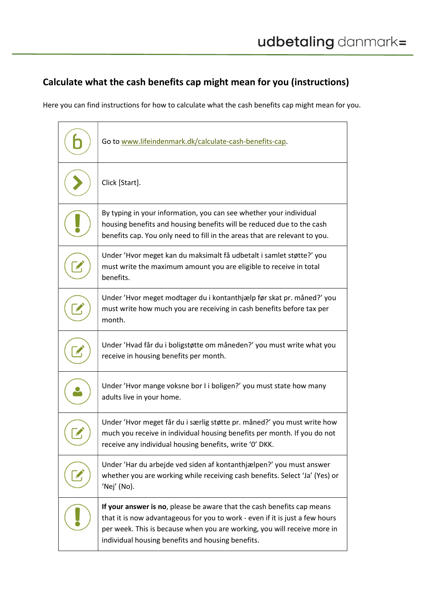## Calculate what the cash benefits cap might mean for you (instructions)

Here you can find instructions for how to calculate what the cash benefits cap might mean for you.

| Go to www.lifeindenmark.dk/calculate-cash-benefits-cap.                                                                                                                                                                                                                                 |
|-----------------------------------------------------------------------------------------------------------------------------------------------------------------------------------------------------------------------------------------------------------------------------------------|
| Click [Start].                                                                                                                                                                                                                                                                          |
| By typing in your information, you can see whether your individual<br>housing benefits and housing benefits will be reduced due to the cash<br>benefits cap. You only need to fill in the areas that are relevant to you.                                                               |
| Under 'Hvor meget kan du maksimalt få udbetalt i samlet støtte?' you<br>must write the maximum amount you are eligible to receive in total<br>benefits.                                                                                                                                 |
| Under 'Hvor meget modtager du i kontanthjælp før skat pr. måned?' you<br>must write how much you are receiving in cash benefits before tax per<br>month.                                                                                                                                |
| Under 'Hvad får du i boligstøtte om måneden?' you must write what you<br>receive in housing benefits per month.                                                                                                                                                                         |
| Under 'Hvor mange voksne bor I i boligen?' you must state how many<br>adults live in your home.                                                                                                                                                                                         |
| Under 'Hvor meget får du i særlig støtte pr. måned?' you must write how<br>much you receive in individual housing benefits per month. If you do not<br>receive any individual housing benefits, write '0' DKK.                                                                          |
| Under 'Har du arbejde ved siden af kontanthjælpen?' you must answer<br>whether you are working while receiving cash benefits. Select 'Ja' (Yes) or<br>'Nej' (No).                                                                                                                       |
| If your answer is no, please be aware that the cash benefits cap means<br>that it is now advantageous for you to work - even if it is just a few hours<br>per week. This is because when you are working, you will receive more in<br>individual housing benefits and housing benefits. |